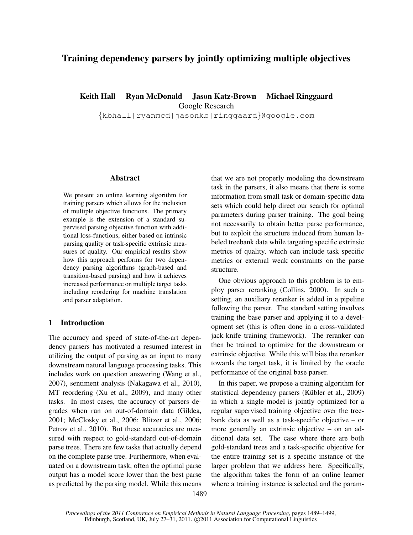# Training dependency parsers by jointly optimizing multiple objectives

Keith Hall Ryan McDonald Jason Katz-Brown Michael Ringgaard

Google Research

{kbhall|ryanmcd|jasonkb|ringgaard}@google.com

### Abstract

We present an online learning algorithm for training parsers which allows for the inclusion of multiple objective functions. The primary example is the extension of a standard supervised parsing objective function with additional loss-functions, either based on intrinsic parsing quality or task-specific extrinsic measures of quality. Our empirical results show how this approach performs for two dependency parsing algorithms (graph-based and transition-based parsing) and how it achieves increased performance on multiple target tasks including reordering for machine translation and parser adaptation.

# 1 Introduction

The accuracy and speed of state-of-the-art dependency parsers has motivated a resumed interest in utilizing the output of parsing as an input to many downstream natural language processing tasks. This includes work on question answering (Wang et al., 2007), sentiment analysis (Nakagawa et al., 2010), MT reordering (Xu et al., 2009), and many other tasks. In most cases, the accuracy of parsers degrades when run on out-of-domain data (Gildea, 2001; McClosky et al., 2006; Blitzer et al., 2006; Petrov et al., 2010). But these accuracies are measured with respect to gold-standard out-of-domain parse trees. There are few tasks that actually depend on the complete parse tree. Furthermore, when evaluated on a downstream task, often the optimal parse output has a model score lower than the best parse as predicted by the parsing model. While this means that we are not properly modeling the downstream task in the parsers, it also means that there is some information from small task or domain-specific data sets which could help direct our search for optimal parameters during parser training. The goal being not necessarily to obtain better parse performance, but to exploit the structure induced from human labeled treebank data while targeting specific extrinsic metrics of quality, which can include task specific metrics or external weak constraints on the parse structure.

One obvious approach to this problem is to employ parser reranking (Collins, 2000). In such a setting, an auxiliary reranker is added in a pipeline following the parser. The standard setting involves training the base parser and applying it to a development set (this is often done in a cross-validated jack-knife training framework). The reranker can then be trained to optimize for the downstream or extrinsic objective. While this will bias the reranker towards the target task, it is limited by the oracle performance of the original base parser.

In this paper, we propose a training algorithm for statistical dependency parsers (Kübler et al., 2009) in which a single model is jointly optimized for a regular supervised training objective over the treebank data as well as a task-specific objective – or more generally an extrinsic objective – on an additional data set. The case where there are both gold-standard trees and a task-specific objective for the entire training set is a specific instance of the larger problem that we address here. Specifically, the algorithm takes the form of an online learner where a training instance is selected and the param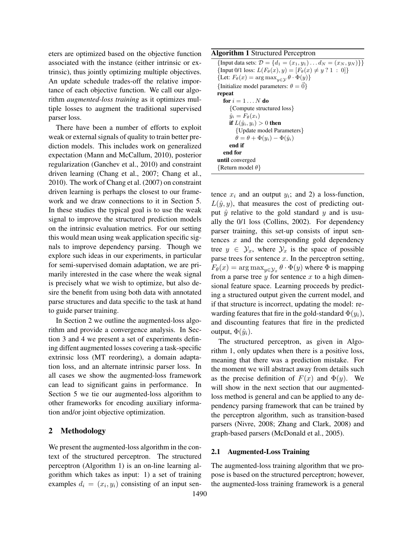eters are optimized based on the objective function associated with the instance (either intrinsic or extrinsic), thus jointly optimizing multiple objectives. An update schedule trades-off the relative importance of each objective function. We call our algorithm *augmented-loss training* as it optimizes multiple losses to augment the traditional supervised parser loss.

There have been a number of efforts to exploit weak or external signals of quality to train better prediction models. This includes work on generalized expectation (Mann and McCallum, 2010), posterior regularization (Ganchev et al., 2010) and constraint driven learning (Chang et al., 2007; Chang et al., 2010). The work of Chang et al. (2007) on constraint driven learning is perhaps the closest to our framework and we draw connections to it in Section 5. In these studies the typical goal is to use the weak signal to improve the structured prediction models on the intrinsic evaluation metrics. For our setting this would mean using weak application specific signals to improve dependency parsing. Though we explore such ideas in our experiments, in particular for semi-supervised domain adaptation, we are primarily interested in the case where the weak signal is precisely what we wish to optimize, but also desire the benefit from using both data with annotated parse structures and data specific to the task at hand to guide parser training.

In Section 2 we outline the augmented-loss algorithm and provide a convergence analysis. In Section 3 and 4 we present a set of experiments defining diffent augmented losses covering a task-specific extrinsic loss (MT reordering), a domain adaptation loss, and an alternate intrinsic parser loss. In all cases we show the augmented-loss framework can lead to significant gains in performance. In Section 5 we tie our augmented-loss algorithm to other frameworks for encoding auxiliary information and/or joint objective optimization.

### 2 Methodology

We present the augmented-loss algorithm in the context of the structured perceptron. The structured perceptron (Algorithm 1) is an on-line learning algorithm which takes as input: 1) a set of training examples  $d_i = (x_i, y_i)$  consisting of an input sen-

### Algorithm 1 Structured Perceptron

{Input data sets:  $\mathcal{D} = \{d_1 = (x_1, y_1) \dots d_N = (x_N, y_N)\}\}$ {Input 0/1 loss:  $L(F_{\theta}(x), y) = [F_{\theta}(x) \neq y$  ? 1 : 0]} {Let:  $F_{\theta}(x) = \arg \max_{y \in \mathcal{Y}} \theta \cdot \Phi(y)$ } {Initialize model parameters:  $\theta = \vec{0}$ } repeat for  $i = 1 \dots N$  do {Compute structured loss}  $\hat{y}_i = F_\theta(x_i)$ if  $L(\hat{y}_i, y_i) > 0$  then {Update model Parameters}  $\dot{\theta} = \theta + \Phi(y_i) - \Phi(\hat{y}_i)$ end if end for until converged  ${Return model } \theta$ 

tence  $x_i$  and an output  $y_i$ ; and 2) a loss-function,  $L(\hat{y}, y)$ , that measures the cost of predicting output  $\hat{y}$  relative to the gold standard y and is usually the 0/1 loss (Collins, 2002). For dependency parser training, this set-up consists of input sentences  $x$  and the corresponding gold dependency tree  $y \in \mathcal{Y}_x$ , where  $\mathcal{Y}_x$  is the space of possible parse trees for sentence  $x$ . In the perceptron setting,  $F_{\theta}(x) = \arg \max_{y \in \mathcal{Y}_x} \theta \cdot \Phi(y)$  where  $\Phi$  is mapping from a parse tree  $y$  for sentence  $x$  to a high dimensional feature space. Learning proceeds by predicting a structured output given the current model, and if that structure is incorrect, updating the model: rewarding features that fire in the gold-standard  $\Phi(y_i)$ , and discounting features that fire in the predicted output,  $\Phi(\hat{y}_i)$ .

The structured perceptron, as given in Algorithm 1, only updates when there is a positive loss, meaning that there was a prediction mistake. For the moment we will abstract away from details such as the precise definition of  $F(x)$  and  $\Phi(y)$ . We will show in the next section that our augmentedloss method is general and can be applied to any dependency parsing framework that can be trained by the perceptron algorithm, such as transition-based parsers (Nivre, 2008; Zhang and Clark, 2008) and graph-based parsers (McDonald et al., 2005).

#### 2.1 Augmented-Loss Training

The augmented-loss training algorithm that we propose is based on the structured perceptron; however, the augmented-loss training framework is a general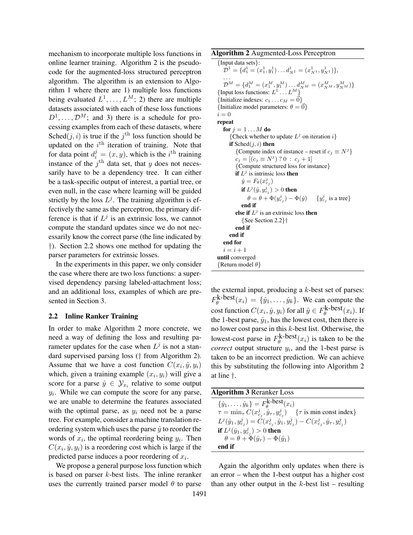mechanism to incorporate multiple loss functions in online learner training. Algorithm 2 is the pseudocode for the augmented-loss structured perceptron algorithm. The algorithm is an extension to Algorithm 1 where there are 1) multiple loss functions being evaluated  $L^1, \ldots, L^M$ ; 2) there are multiple datasets associated with each of these loss functions  $D^1, \ldots, \mathcal{D}^M$ ; and 3) there is a schedule for processing examples from each of these datasets, where Sched $(j, i)$  is true if the  $j^{\text{th}}$  loss function should be updated on the  $i^{\text{th}}$  iteration of training. Note that for data point  $d_i^j = (x, y)$ , which is the i<sup>th</sup> training instance of the  $j<sup>th</sup>$  data set, that y does not necessarily have to be a dependency tree. It can either be a task-specific output of interest, a partial tree, or even null, in the case where learning will be guided strictly by the loss  $L^j$ . The training algorithm is effectively the same as the perceptron, the primary difference is that if  $L^j$  is an extrinsic loss, we cannot compute the standard updates since we do not necessarily know the correct parse (the line indicated by †). Section 2.2 shows one method for updating the parser parameters for extrinsic losses.

In the experiments in this paper, we only consider the case where there are two loss functions: a supervised dependency parsing labeled-attachment loss; and an additional loss, examples of which are presented in Section 3.

#### 2.2 Inline Ranker Training

In order to make Algorithm 2 more concrete, we need a way of defining the loss and resulting parameter updates for the case when  $L^j$  is not a standard supervised parsing loss († from Algorithm 2). Assume that we have a cost function  $C(x_i, \hat{y}, y_i)$ which, given a training example  $(x_i, y_i)$  will give a score for a parse  $\hat{y} \in \mathcal{Y}_{x_i}$  relative to some output  $y_i$ . While we can compute the score for any parse, we are unable to determine the features associated with the optimal parse, as  $y_i$  need not be a parse tree. For example, consider a machine translation reordering system which uses the parse  $\hat{y}$  to reorder the words of  $x_i$ , the optimal reordering being  $y_i$ . Then  $C(x_i, \hat{y}, y_i)$  is a reordering cost which is large if the predicted parse induces a poor reordering of  $x_i$ .

We propose a general purpose loss function which is based on parser  $k$ -best lists. The inline reranker uses the currently trained parser model  $\theta$  to parse

Algorithm 2 Augmented-Loss Perceptron

{Input data sets}:  $\mathcal{D}^1 = \{d_1^1 = (x_1^1, y_1^1) \dots d_{N^1}^1 = (x_{N^1}^1, y_{N^1}^1)\},\$ . . .  $\mathcal{D}^M = \{d_1^M = (x_1^M, y_1^M) \dots d_{N^M}^M = (x_{N^M}^M, y_{N^M}^M)\}$ {Input loss functions:  $L^1 \dots L^M$ } {Initialize indexes:  $c_1 \dots c_M = \vec{0}$ } {Initialize model parameters:  $\theta = \vec{0}$ }  $i = 0$ repeat for  $j = 1 \dots M$  do {Check whether to update  $L^j$  on iteration i} if  $Sched(j, i)$  then {Compute index of instance – reset if  $c_j \equiv N^j$ }  $c_j = [(c_j \equiv N^j) ? 0 : c_j + 1]$ {Compute structured loss for instance} if  $L^j$  is intrinsic loss then  $\hat{y} = F_{\theta}(x_{c_j}^j)$ if  $L^j(\hat{y},y^j_{c_j})>0$  then  $\theta = \theta + \Phi(y_{c_j}^j) - \Phi(\hat{y})$  {y  $_{c_j}^j$  is a tree} end if else if  $L^j$  is an extrinsic loss then {See Section 2.2}† end if end if end for  $i = i + 1$ until converged  $\{$  Return model  $\theta$  $\}$ 

the external input, producing a  $k$ -best set of parses:  $F_{\theta}^{\mathbf{k}-\mathbf{best}}(x_i) = \{\hat{y}_1, \dots, \hat{y}_k\}.$  We can compute the cost function  $C(x_i, \hat{y}, y_i)$  for all  $\hat{y} \in F_{\theta}^{\mathbf{k-best}}(x_i)$ . If the 1-best parse,  $\hat{y}_1$ , has the lowest cost, then there is no lower cost parse in this  $k$ -best list. Otherwise, the lowest-cost parse in  $F_{\theta}^{\textbf{k-best}}(x_i)$  is taken to be the *correct* output structure  $y_i$ , and the 1-best parse is taken to be an incorrect prediction. We can achieve this by substituting the following into Algorithm 2 at line †.

| <b>Algorithm 3 Reranker Loss</b>                                                                           |
|------------------------------------------------------------------------------------------------------------|
| $\{\hat{y}_1, \ldots, \hat{y}_k\} = F_{\theta}^{\text{k-best}}(x_i)$                                       |
| $\tau = \min_{\tau} C(x_{c_i}^j, \hat{y}_{\tau}, y_{c_i}^j)$<br>$\{\tau \text{ is min const index}\}$      |
| $L^j(\hat{y}_1, y_{c_i}^j) = C(x_{c_i}^j, \hat{y}_1, y_{c_i}^j) - C(x_{c_i}^j, \hat{y}_{\tau}, y_{c_i}^j)$ |
| <b>if</b> $L^{j}(\hat{y}_{1}, y_{c_{i}}^{j}) > 0$ then                                                     |
| $\theta = \theta + \Phi(\hat{y}_\tau) - \Phi(\hat{y}_1)$                                                   |
| end if                                                                                                     |

Again the algorithm only updates when there is an error – when the 1-best output has a higher cost than any other output in the  $k$ -best list – resulting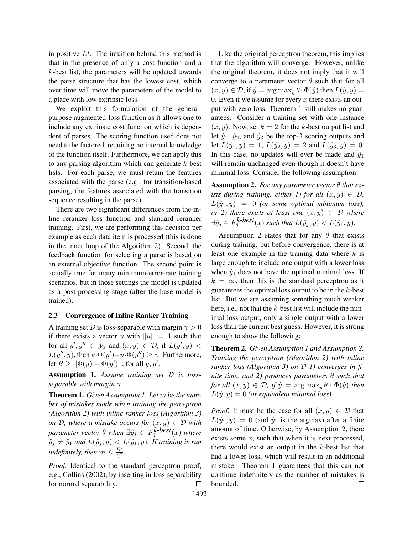in positive  $L^j$ . The intuition behind this method is that in the presence of only a cost function and a k-best list, the parameters will be updated towards the parse structure that has the lowest cost, which over time will move the parameters of the model to a place with low extrinsic loss.

We exploit this formulation of the generalpurpose augmented-loss function as it allows one to include any extrinsic cost function which is dependent of parses. The scoring function used does not need to be factored, requiring no internal knowledge of the function itself. Furthermore, we can apply this to any parsing algorithm which can generate  $k$ -best lists. For each parse, we must retain the features associated with the parse (e.g., for transition-based parsing, the features associated with the transition sequence resulting in the parse).

There are two significant differences from the inline reranker loss function and standard reranker training. First, we are performing this decision per example as each data item is processed (this is done in the inner loop of the Algorithm 2). Second, the feedback function for selecting a parse is based on an external objective function. The second point is actually true for many minimum-error-rate training scenarios, but in those settings the model is updated as a post-processing stage (after the base-model is trained).

### 2.3 Convergence of Inline Ranker Training

A training set D is loss-separable with margin  $\gamma > 0$ if there exists a vector u with  $||u|| = 1$  such that for all  $y', y'' \in \mathcal{Y}_x$  and  $(x, y) \in \mathcal{D}$ , if  $L(y', y)$  <  $L(y'', y)$ , then  $u \cdot \Phi(y') - u \cdot \Phi(y'') \ge \gamma$ . Furthermore, let  $R \ge ||\Phi(y) - \Phi(y')||$ , for all  $y, y'$ .

Assumption 1. *Assume training set* D *is lossseparable with margin* γ*.*

Theorem 1. *Given Assumption 1. Let* m *be the number of mistakes made when training the perceptron (Algorithm 2) with inline ranker loss (Algorithm 3) on*  $D$ *, where a mistake occurs for*  $(x, y) \in D$  *with*  $p$ arameter vector  $\theta$  when  $\exists \hat{y}_j \in F_{\theta}^{k\text{-}best}(x)$  where  $\hat{y}_j \neq \hat{y}_1$  and  $L(\hat{y}_j, y) < L(\hat{y}_1, y)$ . If training is run *indefinitely, then*  $m \leq \frac{R^2}{\gamma^2}$  $\frac{R^2}{\gamma^2}$ .

*Proof.* Identical to the standard perceptron proof, e.g., Collins (2002), by inserting in loss-separability for normal separability.  $\Box$ 

Like the original perceptron theorem, this implies that the algorithm will converge. However, unlike the original theorem, it does not imply that it will converge to a parameter vector  $\theta$  such that for all  $(x, y) \in \mathcal{D}$ , if  $\hat{y} = \argmax_{\hat{y}} \theta \cdot \Phi(\hat{y})$  then  $L(\hat{y}, y) =$ 0. Even if we assume for every  $x$  there exists an output with zero loss, Theorem 1 still makes no guarantees. Consider a training set with one instance  $(x, y)$ . Now, set  $k = 2$  for the k-best output list and let  $\hat{y}_1$ ,  $\hat{y}_2$ , and  $\hat{y}_3$  be the top-3 scoring outputs and let  $L(\hat{y}_1, y) = 1$ ,  $L(\hat{y}_2, y) = 2$  and  $L(\hat{y}_3, y) = 0$ . In this case, no updates will ever be made and  $\hat{y}_1$ will remain unchanged even though it doesn't have minimal loss. Consider the following assumption:

Assumption 2. *For any parameter vector* θ *that exists during training, either 1) for all*  $(x, y) \in \mathcal{D}$ ,  $L(\hat{y}_1, y) = 0$  *(or some optimal minimum loss), or* 2) there exists at least one  $(x, y) \in \mathcal{D}$  where  $\exists \hat{y}_j \in F_\theta^{k-best}(x)$  such that  $L(\hat{y}_j, y) < L(\hat{y}_1, y)$ .

Assumption 2 states that for any  $\theta$  that exists during training, but before convergence, there is at least one example in the training data where  $k$  is large enough to include one output with a lower loss when  $\hat{y}_1$  does not have the optimal minimal loss. If  $k = \infty$ , then this is the standard perceptron as it guarantees the optimal loss output to be in the  $k$ -best list. But we are assuming something much weaker here, i.e., not that the  $k$ -best list will include the minimal loss output, only a single output with a lower loss than the current best guess. However, it is strong enough to show the following:

Theorem 2. *Given Assumption 1 and Assumption 2. Training the perceptron (Algorithm 2) with inline ranker loss (Algorithm 3) on* D *1) converges in finite time, and 2) produces parameters* θ *such that for all*  $(x, y) \in \mathcal{D}$ , *if*  $\hat{y} = \arg \max_{\hat{y}} \theta \cdot \Phi(\hat{y})$  *then*  $L(\hat{y}, y) = 0$  (or equivalent minimal loss).

*Proof.* It must be the case for all  $(x, y) \in \mathcal{D}$  that  $L(\hat{y}_1, y) = 0$  (and  $\hat{y}_1$  is the argmax) after a finite amount of time. Otherwise, by Assumption 2, there exists some  $x$ , such that when it is next processed, there would exist an output in the  $k$ -best list that had a lower loss, which will result in an additional mistake. Theorem 1 guarantees that this can not continue indefinitely as the number of mistakes is bounded.  $\Box$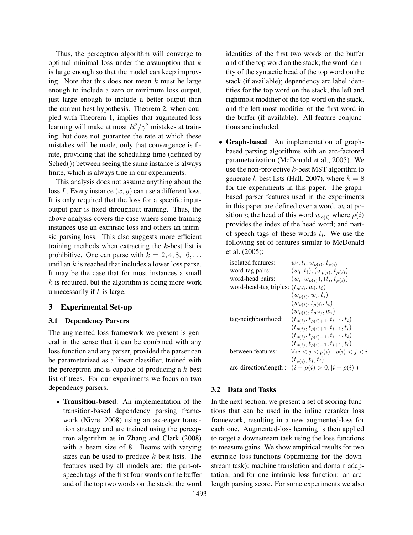Thus, the perceptron algorithm will converge to optimal minimal loss under the assumption that  $k$ is large enough so that the model can keep improving. Note that this does not mean  $k$  must be large enough to include a zero or minimum loss output, just large enough to include a better output than the current best hypothesis. Theorem 2, when coupled with Theorem 1, implies that augmented-loss learning will make at most  $R^2/\gamma^2$  mistakes at training, but does not guarantee the rate at which these mistakes will be made, only that convergence is finite, providing that the scheduling time (defined by Sched()) between seeing the same instance is always finite, which is always true in our experiments.

This analysis does not assume anything about the loss L. Every instance  $(x, y)$  can use a different loss. It is only required that the loss for a specific inputoutput pair is fixed throughout training. Thus, the above analysis covers the case where some training instances use an extrinsic loss and others an intrinsic parsing loss. This also suggests more efficient training methods when extracting the k-best list is prohibitive. One can parse with  $k = 2, 4, 8, 16, \ldots$ until an  $k$  is reached that includes a lower loss parse. It may be the case that for most instances a small  $k$  is required, but the algorithm is doing more work unnecessarily if  $k$  is large.

### 3 Experimental Set-up

#### 3.1 Dependency Parsers

The augmented-loss framework we present is general in the sense that it can be combined with any loss function and any parser, provided the parser can be parameterized as a linear classifier, trained with the perceptron and is capable of producing a  $k$ -best list of trees. For our experiments we focus on two dependency parsers.

• Transition-based: An implementation of the transition-based dependency parsing framework (Nivre, 2008) using an arc-eager transition strategy and are trained using the perceptron algorithm as in Zhang and Clark (2008) with a beam size of 8. Beams with varying sizes can be used to produce  $k$ -best lists. The features used by all models are: the part-ofspeech tags of the first four words on the buffer and of the top two words on the stack; the word identities of the first two words on the buffer and of the top word on the stack; the word identity of the syntactic head of the top word on the stack (if available); dependency arc label identities for the top word on the stack, the left and rightmost modifier of the top word on the stack, and the left most modifier of the first word in the buffer (if available). All feature conjunctions are included.

• Graph-based: An implementation of graphbased parsing algorithms with an arc-factored parameterization (McDonald et al., 2005). We use the non-projective  $k$ -best MST algorithm to generate k-best lists (Hall, 2007), where  $k = 8$ for the experiments in this paper. The graphbased parser features used in the experiments in this paper are defined over a word,  $w_i$  at position *i*; the head of this word  $w_{\rho(i)}$  where  $\rho(i)$ provides the index of the head word; and partof-speech tags of these words  $t_i$ . We use the following set of features similar to McDonald et al. (2005):

| isolated features:                               | $w_i, t_i, w_{\rho(i)}, t_{\rho(i)}$                            |
|--------------------------------------------------|-----------------------------------------------------------------|
| word-tag pairs:                                  | $(w_i, t_i); (w_{\rho(i)}, t_{\rho(i)})$                        |
| word-head pairs:                                 | $(w_i, w_{\rho(i)}), (t_i, t_{\rho(i)})$                        |
| word-head-tag triples: $(t_{\rho(i)}, w_i, t_i)$ |                                                                 |
|                                                  | $(w_{\rho(i)}, w_i, t_i)$                                       |
|                                                  | $(w_{\rho(i)}, t_{\rho(i)}, t_i)$                               |
|                                                  | $(w_{\rho(i)}, t_{\rho(i)}, w_i)$                               |
| tag-neighbourhood:                               | $(t_{\rho(i)}, t_{\rho(i)+1}, t_{i-1}, t_i)$                    |
|                                                  | $(t_{\rho(i)}, t_{\rho(i)+1}, t_{i+1}, t_i)$                    |
|                                                  | $(t_{\rho(i)}, t_{\rho(i)-1}, t_{i-1}, t_i)$                    |
|                                                  | $(t_{\rho(i)}, t_{\rho(i)-1}, t_{i+1}, t_i)$                    |
| between features:                                | $\forall i \leq j \leq \rho(i) \mid \mid \rho(i) \leq j \leq i$ |
|                                                  | $(t_{\rho(i)}, t_i, t_i)$                                       |
| arc-direction/length:                            | $(i - \rho(i) > 0,  i - \rho(i) )$                              |

### 3.2 Data and Tasks

In the next section, we present a set of scoring functions that can be used in the inline reranker loss framework, resulting in a new augmented-loss for each one. Augmented-loss learning is then applied to target a downstream task using the loss functions to measure gains. We show empirical results for two extrinsic loss-functions (optimizing for the downstream task): machine translation and domain adaptation; and for one intrinsic loss-function: an arclength parsing score. For some experiments we also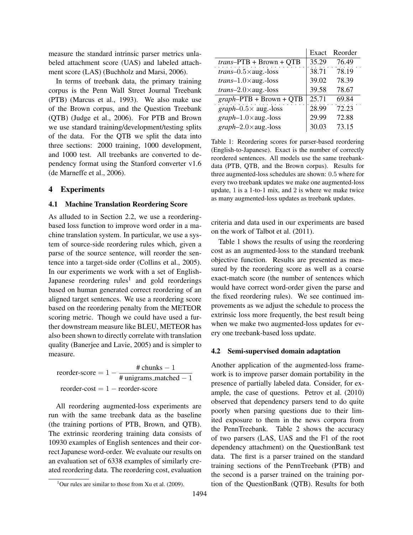measure the standard intrinsic parser metrics unlabeled attachment score (UAS) and labeled attachment score (LAS) (Buchholz and Marsi, 2006).

In terms of treebank data, the primary training corpus is the Penn Wall Street Journal Treebank (PTB) (Marcus et al., 1993). We also make use of the Brown corpus, and the Question Treebank (QTB) (Judge et al., 2006). For PTB and Brown we use standard training/development/testing splits of the data. For the QTB we split the data into three sections: 2000 training, 1000 development, and 1000 test. All treebanks are converted to dependency format using the Stanford converter v1.6 (de Marneffe et al., 2006).

# 4 Experiments

#### 4.1 Machine Translation Reordering Score

As alluded to in Section 2.2, we use a reorderingbased loss function to improve word order in a machine translation system. In particular, we use a system of source-side reordering rules which, given a parse of the source sentence, will reorder the sentence into a target-side order (Collins et al., 2005). In our experiments we work with a set of English-Japanese reordering rules<sup>1</sup> and gold reorderings based on human generated correct reordering of an aligned target sentences. We use a reordering score based on the reordering penalty from the METEOR scoring metric. Though we could have used a further downstream measure like BLEU, METEOR has also been shown to directly correlate with translation quality (Banerjee and Lavie, 2005) and is simpler to measure.

reorder-score =  $1 - \frac{\text{# chunks} - 1}{\text{# unions match}}$ # unigrams matched − 1  $reorder-cost = 1 - reorder-score$ 

All reordering augmented-loss experiments are run with the same treebank data as the baseline (the training portions of PTB, Brown, and QTB). The extrinsic reordering training data consists of 10930 examples of English sentences and their correct Japanese word-order. We evaluate our results on an evaluation set of 6338 examples of similarly created reordering data. The reordering cost, evaluation

|                              | Exact | Reorder |
|------------------------------|-------|---------|
| $trans$ -PTB + Brown + QTB   | 35.29 | 76.49   |
| $trans-0.5\times$ aug.-loss  | 38.71 | 78.19   |
| $trans-1.0 \times aug.-loss$ | 39.02 | 78.39   |
| $trans-2.0 \times aug.-loss$ | 39.58 | 78.67   |
| $graph$ -PTB + Brown + QTB   | 25.71 | 69.84   |
| $graph-0.5\times$ aug.-loss  | 28.99 | 72.23   |
| $graph-1.0\times$ aug.-loss  | 29.99 | 72.88   |
| $graph-2.0\times$ aug.-loss  | 30.03 | 73.15   |

Table 1: Reordering scores for parser-based reordering (English-to-Japanese). Exact is the number of correctly reordered sentences. All models use the same treebankdata (PTB, QTB, and the Brown corpus). Results for three augmented-loss schedules are shown: 0.5 where for every two treebank updates we make one augmented-loss update, 1 is a 1-to-1 mix, and 2 is where we make twice as many augmented-loss updates as treebank updates.

criteria and data used in our experiments are based on the work of Talbot et al. (2011).

Table 1 shows the results of using the reordering cost as an augmented-loss to the standard treebank objective function. Results are presented as measured by the reordering score as well as a coarse exact-match score (the number of sentences which would have correct word-order given the parse and the fixed reordering rules). We see continued improvements as we adjust the schedule to process the extrinsic loss more frequently, the best result being when we make two augmented-loss updates for every one treebank-based loss update.

#### 4.2 Semi-supervised domain adaptation

Another application of the augmented-loss framework is to improve parser domain portability in the presence of partially labeled data. Consider, for example, the case of questions. Petrov et al. (2010) observed that dependency parsers tend to do quite poorly when parsing questions due to their limited exposure to them in the news corpora from the PennTreebank. Table 2 shows the accuracy of two parsers (LAS, UAS and the F1 of the root dependency attachment) on the QuestionBank test data. The first is a parser trained on the standard training sections of the PennTreebank (PTB) and the second is a parser trained on the training portion of the QuestionBank (QTB). Results for both

<sup>&</sup>lt;sup>1</sup>Our rules are similar to those from Xu et al. (2009).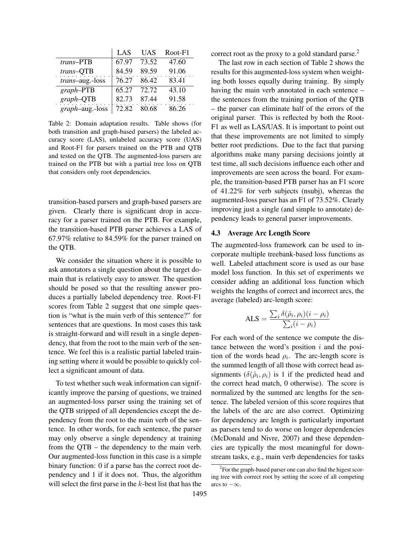|                 | LAS   | <b>UAS</b> | Root-F1 |
|-----------------|-------|------------|---------|
| trans-PTB       | 67.97 | 73.52      | 47.60   |
| trans-QTB       | 84.59 | 89.59      | 91.06   |
| trans-aug.-loss | 76.27 | 86.42      | 83.41   |
| $graph$ -PTB    | 65.27 | 72.72      | 43.10   |
| $graph$ - $QTB$ | 82.73 | 87.44      | 91.58   |
| graph-aug.-loss | 72.82 | 80.68      | 86.26   |

Table 2: Domain adaptation results. Table shows (for both transition and graph-based parsers) the labeled accuracy score (LAS), unlabeled accuracy score (UAS) and Root-F1 for parsers trained on the PTB and QTB and tested on the QTB. The augmented-loss parsers are trained on the PTB but with a partial tree loss on QTB that considers only root dependencies.

transition-based parsers and graph-based parsers are given. Clearly there is significant drop in accuracy for a parser trained on the PTB. For example, the transition-based PTB parser achieves a LAS of 67.97% relative to 84.59% for the parser trained on the QTB.

We consider the situation where it is possible to ask annotators a single question about the target domain that is relatively easy to answer. The question should be posed so that the resulting answer produces a partially labeled dependency tree. Root-F1 scores from Table 2 suggest that one simple question is "what is the main verb of this sentence?" for sentences that are questions. In most cases this task is straight-forward and will result in a single dependency, that from the root to the main verb of the sentence. We feel this is a realistic partial labeled training setting where it would be possible to quickly collect a significant amount of data.

To test whether such weak information can significantly improve the parsing of questions, we trained an augmented-loss parser using the training set of the QTB stripped of all dependencies except the dependency from the root to the main verb of the sentence. In other words, for each sentence, the parser may only observe a single dependency at training from the QTB – the dependency to the main verb. Our augmented-loss function in this case is a simple binary function: 0 if a parse has the correct root dependency and 1 if it does not. Thus, the algorithm will select the first parse in the  $k$ -best list that has the

correct root as the proxy to a gold standard parse.<sup>2</sup>

The last row in each section of Table 2 shows the results for this augmented-loss system when weighting both losses equally during training. By simply having the main verb annotated in each sentence – the sentences from the training portion of the QTB – the parser can eliminate half of the errors of the original parser. This is reflected by both the Root-F1 as well as LAS/UAS. It is important to point out that these improvements are not limited to simply better root predictions. Due to the fact that parsing algorithms make many parsing decisions jointly at test time, all such decisions influence each other and improvements are seen across the board. For example, the transition-based PTB parser has an F1 score of 41.22% for verb subjects (nsubj), whereas the augmented-loss parser has an F1 of 73.52%. Clearly improving just a single (and simple to annotate) dependency leads to general parser improvements.

#### 4.3 Average Arc Length Score

The augmented-loss framework can be used to incorporate multiple treebank-based loss functions as well. Labeled attachment score is used as our base model loss function. In this set of experiments we consider adding an additional loss function which weights the lengths of correct and incorrect arcs, the average (labeled) arc-length score:

$$
ALS = \frac{\sum_{i} \delta(\hat{\rho}_i, \rho_i)(i - \rho_i)}{\sum_{i} (i - \rho_i)}
$$

For each word of the sentence we compute the distance between the word's position  $i$  and the position of the words head  $\rho_i$ . The arc-length score is the summed length of all those with correct head assignments  $(\delta(\hat{\rho}_i, \rho_i)$  is 1 if the predicted head and the correct head match, 0 otherwise). The score is normalized by the summed arc lengths for the sentence. The labeled version of this score requires that the labels of the arc are also correct. Optimizing for dependency arc length is particularly important as parsers tend to do worse on longer dependencies (McDonald and Nivre, 2007) and these dependencies are typically the most meaningful for downstream tasks, e.g., main verb dependencies for tasks

 $2^2$ For the graph-based parser one can also find the higest scoring tree with correct root by setting the score of all competing arcs to  $-\infty$ .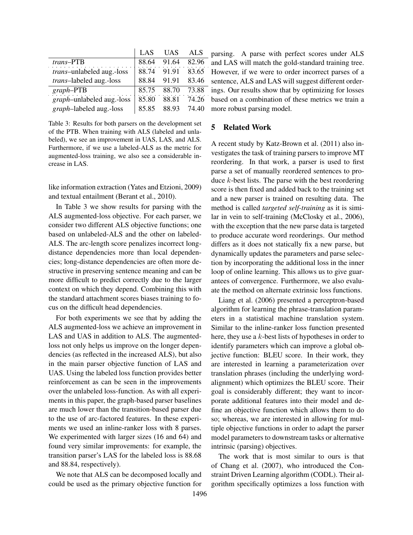|                                   | LAS   | <b>UAS</b> | <b>ALS</b> |
|-----------------------------------|-------|------------|------------|
| trans-PTB                         | 88.64 | 91.64      | 82.96      |
| trans-unlabeled aug.-loss         | 88.74 | 91.91      | 83.65      |
| trans-labeled aug.-loss           | 88.84 | 91.91      | 83.46      |
| $graph$ -PTB                      | 85.75 | 88.70      | 73.88      |
| <i>graph</i> -unlabeled aug.-loss | 85.80 | 88.81      | 74.26      |
| graph-labeled aug.-loss           | 85.85 | 88.93      | 74.40      |

Table 3: Results for both parsers on the development set of the PTB. When training with ALS (labeled and unlabeled), we see an improvement in UAS, LAS, and ALS. Furthermore, if we use a labeled-ALS as the metric for augmented-loss training, we also see a considerable increase in LAS.

like information extraction (Yates and Etzioni, 2009) and textual entailment (Berant et al., 2010).

In Table 3 we show results for parsing with the ALS augmented-loss objective. For each parser, we consider two different ALS objective functions; one based on unlabeled-ALS and the other on labeled-ALS. The arc-length score penalizes incorrect longdistance dependencies more than local dependencies; long-distance dependencies are often more destructive in preserving sentence meaning and can be more difficult to predict correctly due to the larger context on which they depend. Combining this with the standard attachment scores biases training to focus on the difficult head dependencies.

For both experiments we see that by adding the ALS augmented-loss we achieve an improvement in LAS and UAS in addition to ALS. The augmentedloss not only helps us improve on the longer dependencies (as reflected in the increased ALS), but also in the main parser objective function of LAS and UAS. Using the labeled loss function provides better reinforcement as can be seen in the improvements over the unlabeled loss-function. As with all experiments in this paper, the graph-based parser baselines are much lower than the transition-based parser due to the use of arc-factored features. In these experiments we used an inline-ranker loss with 8 parses. We experimented with larger sizes (16 and 64) and found very similar improvements: for example, the transition parser's LAS for the labeled loss is 88.68 and 88.84, respectively).

We note that ALS can be decomposed locally and could be used as the primary objective function for

parsing. A parse with perfect scores under ALS and LAS will match the gold-standard training tree. However, if we were to order incorrect parses of a sentence, ALS and LAS will suggest different orderings. Our results show that by optimizing for losses based on a combination of these metrics we train a more robust parsing model.

### 5 Related Work

A recent study by Katz-Brown et al. (2011) also investigates the task of training parsers to improve MT reordering. In that work, a parser is used to first parse a set of manually reordered sentences to produce  $k$ -best lists. The parse with the best reordering score is then fixed and added back to the training set and a new parser is trained on resulting data. The method is called *targeted self-training* as it is similar in vein to self-training (McClosky et al., 2006), with the exception that the new parse data is targeted to produce accurate word reorderings. Our method differs as it does not statically fix a new parse, but dynamically updates the parameters and parse selection by incorporating the additional loss in the inner loop of online learning. This allows us to give guarantees of convergence. Furthermore, we also evaluate the method on alternate extrinsic loss functions.

Liang et al. (2006) presented a perceptron-based algorithm for learning the phrase-translation parameters in a statistical machine translation system. Similar to the inline-ranker loss function presented here, they use a k-best lists of hypotheses in order to identify parameters which can improve a global objective function: BLEU score. In their work, they are interested in learning a parameterization over translation phrases (including the underlying wordalignment) which optimizes the BLEU score. Their goal is considerably different; they want to incorporate additional features into their model and define an objective function which allows them to do so; whereas, we are interested in allowing for multiple objective functions in order to adapt the parser model parameters to downstream tasks or alternative intrinsic (parsing) objectives.

The work that is most similar to ours is that of Chang et al. (2007), who introduced the Constraint Driven Learning algorithm (CODL). Their algorithm specifically optimizes a loss function with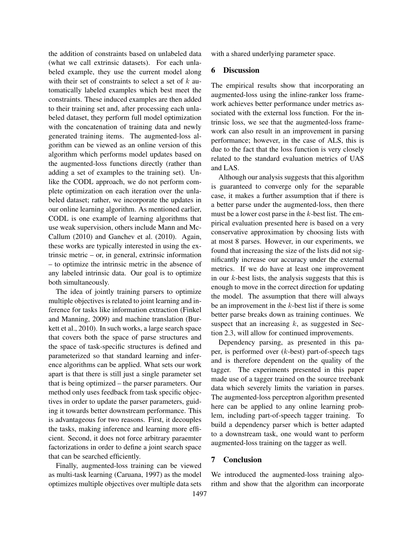the addition of constraints based on unlabeled data (what we call extrinsic datasets). For each unlabeled example, they use the current model along with their set of constraints to select a set of  $k$  automatically labeled examples which best meet the constraints. These induced examples are then added to their training set and, after processing each unlabeled dataset, they perform full model optimization with the concatenation of training data and newly generated training items. The augmented-loss algorithm can be viewed as an online version of this algorithm which performs model updates based on the augmented-loss functions directly (rather than adding a set of examples to the training set). Unlike the CODL approach, we do not perform complete optimization on each iteration over the unlabeled dataset; rather, we incorporate the updates in our online learning algorithm. As mentioned earlier, CODL is one example of learning algorithms that use weak supervision, others include Mann and Mc-Callum (2010) and Ganchev et al. (2010). Again, these works are typically interested in using the extrinsic metric – or, in general, extrinsic information – to optimize the intrinsic metric in the absence of any labeled intrinsic data. Our goal is to optimize both simultaneously.

The idea of jointly training parsers to optimize multiple objectives is related to joint learning and inference for tasks like information extraction (Finkel and Manning, 2009) and machine translation (Burkett et al., 2010). In such works, a large search space that covers both the space of parse structures and the space of task-specific structures is defined and parameterized so that standard learning and inference algorithms can be applied. What sets our work apart is that there is still just a single parameter set that is being optimized – the parser parameters. Our method only uses feedback from task specific objectives in order to update the parser parameters, guiding it towards better downstream performance. This is advantageous for two reasons. First, it decouples the tasks, making inference and learning more efficient. Second, it does not force arbitrary paraemter factorizations in order to define a joint search space that can be searched efficiently.

Finally, augmented-loss training can be viewed as multi-task learning (Caruana, 1997) as the model optimizes multiple objectives over multiple data sets with a shared underlying parameter space.

### 6 Discussion

The empirical results show that incorporating an augmented-loss using the inline-ranker loss framework achieves better performance under metrics associated with the external loss function. For the intrinsic loss, we see that the augmented-loss framework can also result in an improvement in parsing performance; however, in the case of ALS, this is due to the fact that the loss function is very closely related to the standard evaluation metrics of UAS and LAS.

Although our analysis suggests that this algorithm is guaranteed to converge only for the separable case, it makes a further assumption that if there is a better parse under the augmented-loss, then there must be a lower cost parse in the  $k$ -best list. The empirical evaluation presented here is based on a very conservative approximation by choosing lists with at most 8 parses. However, in our experiments, we found that increasing the size of the lists did not significantly increase our accuracy under the external metrics. If we do have at least one improvement in our  $k$ -best lists, the analysis suggests that this is enough to move in the correct direction for updating the model. The assumption that there will always be an improvement in the  $k$ -best list if there is some better parse breaks down as training continues. We suspect that an increasing  $k$ , as suggested in Section 2.3, will allow for continued improvements.

Dependency parsing, as presented in this paper, is performed over  $(k$ -best) part-of-speech tags and is therefore dependent on the quality of the tagger. The experiments presented in this paper made use of a tagger trained on the source treebank data which severely limits the variation in parses. The augmented-loss perceptron algorithm presented here can be applied to any online learning problem, including part-of-speech tagger training. To build a dependency parser which is better adapted to a downstream task, one would want to perform augmented-loss training on the tagger as well.

### 7 Conclusion

We introduced the augmented-loss training algorithm and show that the algorithm can incorporate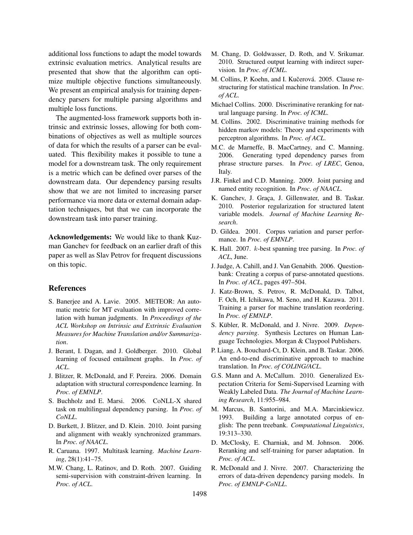additional loss functions to adapt the model towards extrinsic evaluation metrics. Analytical results are presented that show that the algorithm can optimize multiple objective functions simultaneously. We present an empirical analysis for training dependency parsers for multiple parsing algorithms and multiple loss functions.

The augmented-loss framework supports both intrinsic and extrinsic losses, allowing for both combinations of objectives as well as multiple sources of data for which the results of a parser can be evaluated. This flexibility makes it possible to tune a model for a downstream task. The only requirement is a metric which can be defined over parses of the downstream data. Our dependency parsing results show that we are not limited to increasing parser performance via more data or external domain adaptation techniques, but that we can incorporate the downstream task into parser training.

Acknowledgements: We would like to thank Kuzman Ganchev for feedback on an earlier draft of this paper as well as Slav Petrov for frequent discussions on this topic.

#### References

- S. Banerjee and A. Lavie. 2005. METEOR: An automatic metric for MT evaluation with improved correlation with human judgments. In *Proceedings of the ACL Workshop on Intrinsic and Extrinsic Evaluation Measures for Machine Translation and/or Summarization*.
- J. Berant, I. Dagan, and J. Goldberger. 2010. Global learning of focused entailment graphs. In *Proc. of ACL*.
- J. Blitzer, R. McDonald, and F. Pereira. 2006. Domain adaptation with structural correspondence learning. In *Proc. of EMNLP*.
- S. Buchholz and E. Marsi. 2006. CoNLL-X shared task on multilingual dependency parsing. In *Proc. of CoNLL*.
- D. Burkett, J. Blitzer, and D. Klein. 2010. Joint parsing and alignment with weakly synchronized grammars. In *Proc. of NAACL*.
- R. Caruana. 1997. Multitask learning. *Machine Learning*, 28(1):41–75.
- M.W. Chang, L. Ratinov, and D. Roth. 2007. Guiding semi-supervision with constraint-driven learning. In *Proc. of ACL*.
- M. Chang, D. Goldwasser, D. Roth, and V. Srikumar. 2010. Structured output learning with indirect supervision. In *Proc. of ICML*.
- M. Collins, P. Koehn, and I. Kučerová. 2005. Clause restructuring for statistical machine translation. In *Proc. of ACL*.
- Michael Collins. 2000. Discriminative reranking for natural language parsing. In *Proc. of ICML*.
- M. Collins. 2002. Discriminative training methods for hidden markov models: Theory and experiments with perceptron algorithms. In *Proc. of ACL*.
- M.C. de Marneffe, B. MacCartney, and C. Manning. 2006. Generating typed dependency parses from phrase structure parses. In *Proc. of LREC*, Genoa, Italy.
- J.R. Finkel and C.D. Manning. 2009. Joint parsing and named entity recognition. In *Proc. of NAACL*.
- K. Ganchev, J. Graca, J. Gillenwater, and B. Taskar. 2010. Posterior regularization for structured latent variable models. *Journal of Machine Learning Research*.
- D. Gildea. 2001. Corpus variation and parser performance. In *Proc. of EMNLP*.
- K. Hall. 2007. k-best spanning tree parsing. In *Proc. of ACL*, June.
- J. Judge, A. Cahill, and J. Van Genabith. 2006. Questionbank: Creating a corpus of parse-annotated questions. In *Proc. of ACL*, pages 497–504.
- J. Katz-Brown, S. Petrov, R. McDonald, D. Talbot, F. Och, H. Ichikawa, M. Seno, and H. Kazawa. 2011. Training a parser for machine translation reordering. In *Proc. of EMNLP*.
- S. Kübler, R. McDonald, and J. Nivre. 2009. Depen*dency parsing*. Synthesis Lectures on Human Language Technologies. Morgan & Claypool Publishers.
- P. Liang, A. Bouchard-Ct, D. Klein, and B. Taskar. 2006. An end-to-end discriminative approach to machine translation. In *Proc. of COLING/ACL*.
- G.S. Mann and A. McCallum. 2010. Generalized Expectation Criteria for Semi-Supervised Learning with Weakly Labeled Data. *The Journal of Machine Learning Research*, 11:955–984.
- M. Marcus, B. Santorini, and M.A. Marcinkiewicz. 1993. Building a large annotated corpus of english: The penn treebank. *Computational Linguistics*, 19:313–330.
- D. McClosky, E. Charniak, and M. Johnson. 2006. Reranking and self-training for parser adaptation. In *Proc. of ACL*.
- R. McDonald and J. Nivre. 2007. Characterizing the errors of data-driven dependency parsing models. In *Proc. of EMNLP-CoNLL*.